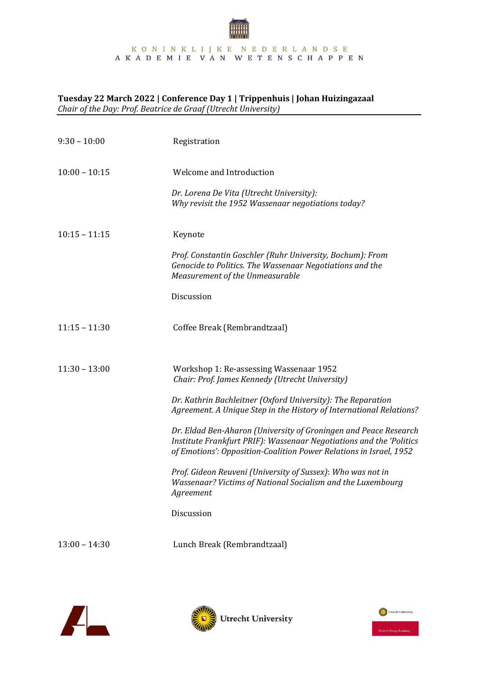#### **Tuesday 22 March 2022 | Conference Day 1 | Trippenhuis | Johan Huizingazaal**  *Chair of the Day: Prof. Beatrice de Graaf (Utrecht University)*

| $9:30 - 10:00$  | Registration                                                                                                                                                                                                  |
|-----------------|---------------------------------------------------------------------------------------------------------------------------------------------------------------------------------------------------------------|
| $10:00 - 10:15$ | Welcome and Introduction                                                                                                                                                                                      |
|                 | Dr. Lorena De Vita (Utrecht University):<br>Why revisit the 1952 Wassenaar negotiations today?                                                                                                                |
| $10:15 - 11:15$ | Keynote                                                                                                                                                                                                       |
|                 | Prof. Constantin Goschler (Ruhr University, Bochum): From<br>Genocide to Politics. The Wassenaar Negotiations and the<br>Measurement of the Unmeasurable                                                      |
|                 | Discussion                                                                                                                                                                                                    |
| $11:15 - 11:30$ | Coffee Break (Rembrandtzaal)                                                                                                                                                                                  |
| $11:30 - 13:00$ | Workshop 1: Re-assessing Wassenaar 1952<br>Chair: Prof. James Kennedy (Utrecht University)                                                                                                                    |
|                 | Dr. Kathrin Bachleitner (Oxford University): The Reparation<br>Agreement. A Unique Step in the History of International Relations?                                                                            |
|                 | Dr. Eldad Ben-Aharon (University of Groningen and Peace Research<br>Institute Frankfurt PRIF): Wassenaar Negotiations and the 'Politics<br>of Emotions': Opposition-Coalition Power Relations in Israel, 1952 |
|                 | Prof. Gideon Reuveni (University of Sussex): Who was not in<br>Wassenaar? Victims of National Socialism and the Luxembourg<br>Agreement                                                                       |
|                 | Discussion                                                                                                                                                                                                    |
| $13:00 - 14:30$ | Lunch Break (Rembrandtzaal)                                                                                                                                                                                   |





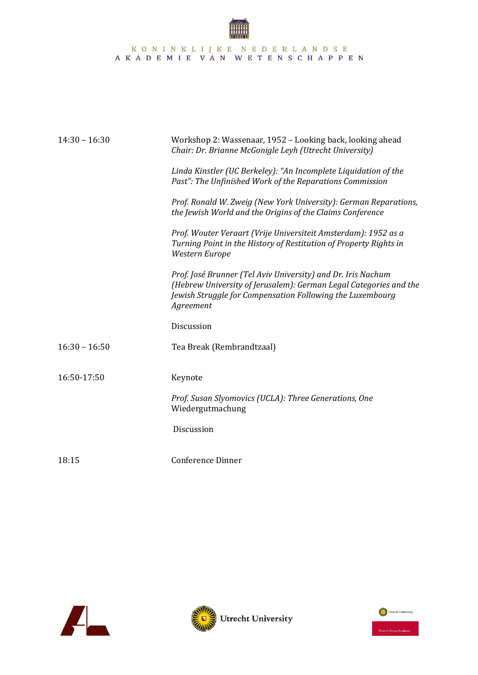| $14:30 - 16:30$ | Workshop 2: Wassenaar, 1952 - Looking back, looking ahead<br>Chair: Dr. Brianne McGonigle Leyh (Utrecht University)                                                                                         |
|-----------------|-------------------------------------------------------------------------------------------------------------------------------------------------------------------------------------------------------------|
|                 | Linda Kinstler (UC Berkeley): "An Incomplete Liquidation of the<br>Past": The Unfinished Work of the Reparations Commission                                                                                 |
|                 | Prof. Ronald W. Zweig (New York University): German Reparations,<br>the Jewish World and the Origins of the Claims Conference                                                                               |
|                 | Prof. Wouter Veraart (Vrije Universiteit Amsterdam): 1952 as a<br>Turning Point in the History of Restitution of Property Rights in<br>Western Europe                                                       |
|                 | Prof. José Brunner (Tel Aviv University) and Dr. Iris Nachum<br>(Hebrew University of Jerusalem): German Legal Categories and the<br>Jewish Struggle for Compensation Following the Luxembourg<br>Agreement |
|                 | Discussion                                                                                                                                                                                                  |
| $16:30 - 16:50$ | Tea Break (Rembrandtzaal)                                                                                                                                                                                   |
| 16:50-17:50     | Keynote                                                                                                                                                                                                     |
|                 | Prof. Susan Slyomovics (UCLA): Three Generations, One<br>Wiedergutmachung                                                                                                                                   |
|                 | Discussion                                                                                                                                                                                                  |
| 18:15           | <b>Conference Dinner</b>                                                                                                                                                                                    |





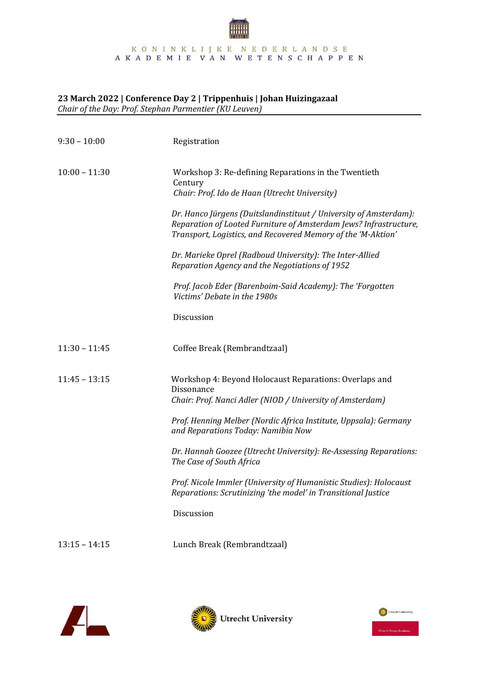#### **23 March 2022 | Conference Day 2 | Trippenhuis | Johan Huizingazaal**  *Chair of the Day: Prof. Stephan Parmentier (KU Leuven)*

| $9:30 - 10:00$  | Registration                                                                                                                                                                                           |
|-----------------|--------------------------------------------------------------------------------------------------------------------------------------------------------------------------------------------------------|
| $10:00 - 11:30$ | Workshop 3: Re-defining Reparations in the Twentieth<br>Century<br>Chair: Prof. Ido de Haan (Utrecht University)                                                                                       |
|                 | Dr. Hanco Jürgens (Duitslandinstituut / University of Amsterdam):<br>Reparation of Looted Furniture of Amsterdam Jews? Infrastructure,<br>Transport, Logistics, and Recovered Memory of the 'M-Aktion' |
|                 | Dr. Marieke Oprel (Radboud University): The Inter-Allied<br>Reparation Agency and the Negotiations of 1952                                                                                             |
|                 | Prof. Jacob Eder (Barenboim-Said Academy): The 'Forgotten<br>Victims' Debate in the 1980s                                                                                                              |
|                 | Discussion                                                                                                                                                                                             |
| $11:30 - 11:45$ | Coffee Break (Rembrandtzaal)                                                                                                                                                                           |
| $11:45 - 13:15$ | Workshop 4: Beyond Holocaust Reparations: Overlaps and<br>Dissonance<br>Chair: Prof. Nanci Adler (NIOD / University of Amsterdam)                                                                      |
|                 | Prof. Henning Melber (Nordic Africa Institute, Uppsala): Germany<br>and Reparations Today: Namibia Now                                                                                                 |
|                 | Dr. Hannah Goozee (Utrecht University): Re-Assessing Reparations:<br>The Case of South Africa                                                                                                          |
|                 | Prof. Nicole Immler (University of Humanistic Studies): Holocaust<br>Reparations: Scrutinizing 'the model' in Transitional Justice                                                                     |
|                 | Discussion                                                                                                                                                                                             |
| $13:15 - 14:15$ | Lunch Break (Rembrandtzaal)                                                                                                                                                                            |